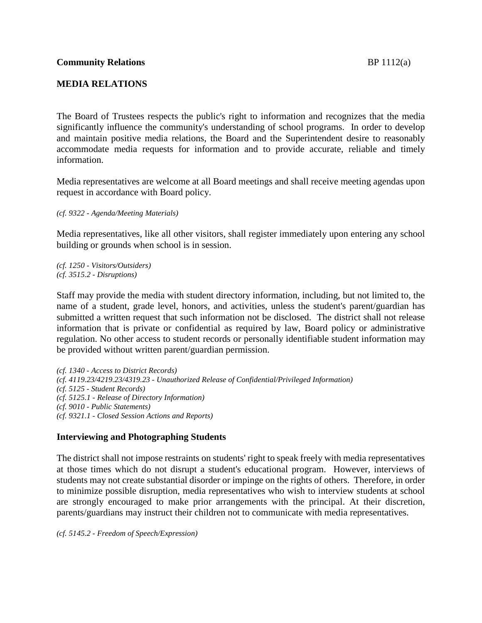## **MEDIA RELATIONS**

The Board of Trustees respects the public's right to information and recognizes that the media significantly influence the community's understanding of school programs. In order to develop and maintain positive media relations, the Board and the Superintendent desire to reasonably accommodate media requests for information and to provide accurate, reliable and timely information.

Media representatives are welcome at all Board meetings and shall receive meeting agendas upon request in accordance with Board policy.

*(cf. 9322 - Agenda/Meeting Materials)*

Media representatives, like all other visitors, shall register immediately upon entering any school building or grounds when school is in session.

*(cf. 1250 - Visitors/Outsiders) (cf. 3515.2 - Disruptions)*

Staff may provide the media with student directory information, including, but not limited to, the name of a student, grade level, honors, and activities, unless the student's parent/guardian has submitted a written request that such information not be disclosed. The district shall not release information that is private or confidential as required by law, Board policy or administrative regulation. No other access to student records or personally identifiable student information may be provided without written parent/guardian permission.

*(cf. 1340 - Access to District Records) (cf. 4119.23/4219.23/4319.23 - Unauthorized Release of Confidential/Privileged Information) (cf. 5125 - Student Records) (cf. 5125.1 - Release of Directory Information) (cf. 9010 - Public Statements) (cf. 9321.1 - Closed Session Actions and Reports)*

# **Interviewing and Photographing Students**

The district shall not impose restraints on students' right to speak freely with media representatives at those times which do not disrupt a student's educational program. However, interviews of students may not create substantial disorder or impinge on the rights of others. Therefore, in order to minimize possible disruption, media representatives who wish to interview students at school are strongly encouraged to make prior arrangements with the principal. At their discretion, parents/guardians may instruct their children not to communicate with media representatives.

*(cf. 5145.2 - Freedom of Speech/Expression)*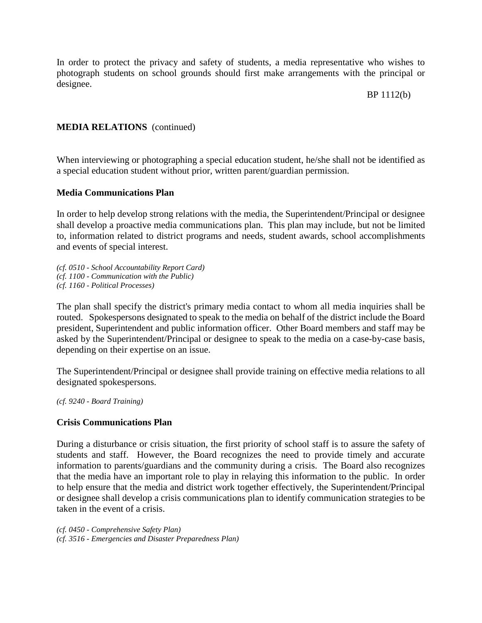In order to protect the privacy and safety of students, a media representative who wishes to photograph students on school grounds should first make arrangements with the principal or designee.

## BP 1112(b)

## **MEDIA RELATIONS** (continued)

When interviewing or photographing a special education student, he/she shall not be identified as a special education student without prior, written parent/guardian permission.

#### **Media Communications Plan**

In order to help develop strong relations with the media, the Superintendent/Principal or designee shall develop a proactive media communications plan. This plan may include, but not be limited to, information related to district programs and needs, student awards, school accomplishments and events of special interest.

*(cf. 0510 - School Accountability Report Card) (cf. 1100 - Communication with the Public) (cf. 1160 - Political Processes)*

The plan shall specify the district's primary media contact to whom all media inquiries shall be routed. Spokespersons designated to speak to the media on behalf of the district include the Board president, Superintendent and public information officer. Other Board members and staff may be asked by the Superintendent/Principal or designee to speak to the media on a case-by-case basis, depending on their expertise on an issue.

The Superintendent/Principal or designee shall provide training on effective media relations to all designated spokespersons.

*(cf. 9240 - Board Training)*

#### **Crisis Communications Plan**

During a disturbance or crisis situation, the first priority of school staff is to assure the safety of students and staff. However, the Board recognizes the need to provide timely and accurate information to parents/guardians and the community during a crisis. The Board also recognizes that the media have an important role to play in relaying this information to the public. In order to help ensure that the media and district work together effectively, the Superintendent/Principal or designee shall develop a crisis communications plan to identify communication strategies to be taken in the event of a crisis.

*(cf. 0450 - Comprehensive Safety Plan) (cf. 3516 - Emergencies and Disaster Preparedness Plan)*